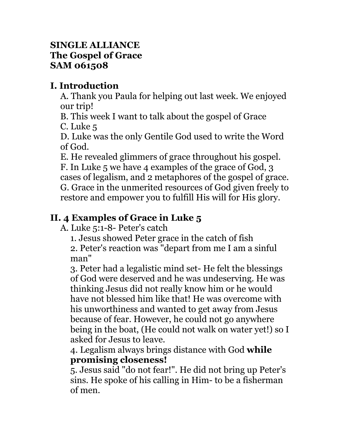#### **SINGLE ALLIANCE The Gospel of Grace SAM 061508**

## **I. Introduction**

A. Thank you Paula for helping out last week. We enjoyed our trip!

B. This week I want to talk about the gospel of Grace C. Luke 5

D. Luke was the only Gentile God used to write the Word of God.

E. He revealed glimmers of grace throughout his gospel.

F. In Luke 5 we have 4 examples of the grace of God, 3 cases of legalism, and 2 metaphores of the gospel of grace. G. Grace in the unmerited resources of God given freely to restore and empower you to fulfill His will for His glory.

# **II. 4 Examples of Grace in Luke 5**

A. Luke 5:1-8- Peter's catch

1. Jesus showed Peter grace in the catch of fish

2. Peter's reaction was "depart from me I am a sinful man"

3. Peter had a legalistic mind set- He felt the blessings of God were deserved and he was undeserving. He was thinking Jesus did not really know him or he would have not blessed him like that! He was overcome with his unworthiness and wanted to get away from Jesus because of fear. However, he could not go anywhere being in the boat, (He could not walk on water yet!) so I asked for Jesus to leave.

4. Legalism always brings distance with God **while promising closeness!**

5. Jesus said "do not fear!". He did not bring up Peter's sins. He spoke of his calling in Him- to be a fisherman of men.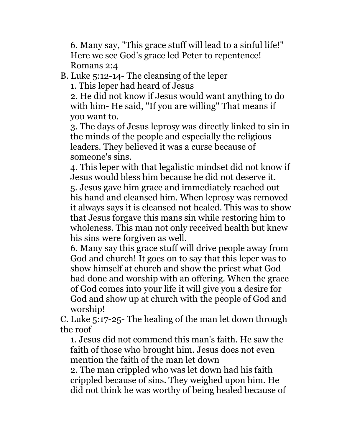6. Many say, "This grace stuff will lead to a sinful life!" Here we see God's grace led Peter to repentence! Romans 2:4

B. Luke 5:12-14- The cleansing of the leper

1. This leper had heard of Jesus

2. He did not know if Jesus would want anything to do with him- He said, "If you are willing" That means if you want to.

3. The days of Jesus leprosy was directly linked to sin in the minds of the people and especially the religious leaders. They believed it was a curse because of someone's sins.

4. This leper with that legalistic mindset did not know if Jesus would bless him because he did not deserve it. 5. Jesus gave him grace and immediately reached out his hand and cleansed him. When leprosy was removed it always says it is cleansed not healed. This was to show that Jesus forgave this mans sin while restoring him to wholeness. This man not only received health but knew his sins were forgiven as well.

6. Many say this grace stuff will drive people away from God and church! It goes on to say that this leper was to show himself at church and show the priest what God had done and worship with an offering. When the grace of God comes into your life it will give you a desire for God and show up at church with the people of God and worship!

C. Luke 5:17-25- The healing of the man let down through the roof

1. Jesus did not commend this man's faith. He saw the faith of those who brought him. Jesus does not even mention the faith of the man let down

2. The man crippled who was let down had his faith crippled because of sins. They weighed upon him. He did not think he was worthy of being healed because of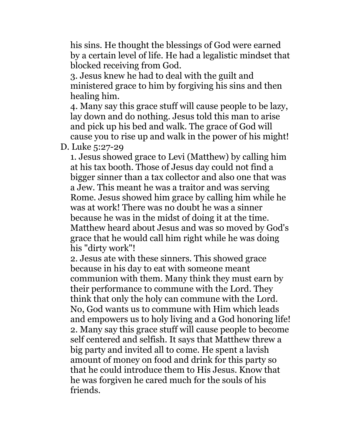his sins. He thought the blessings of God were earned by a certain level of life. He had a legalistic mindset that blocked receiving from God.

3. Jesus knew he had to deal with the guilt and ministered grace to him by forgiving his sins and then healing him.

4. Many say this grace stuff will cause people to be lazy, lay down and do nothing. Jesus told this man to arise and pick up his bed and walk. The grace of God will cause you to rise up and walk in the power of his might!

D. Luke 5:27-29

1. Jesus showed grace to Levi (Matthew) by calling him at his tax booth. Those of Jesus day could not find a bigger sinner than a tax collector and also one that was a Jew. This meant he was a traitor and was serving Rome. Jesus showed him grace by calling him while he was at work! There was no doubt he was a sinner because he was in the midst of doing it at the time. Matthew heard about Jesus and was so moved by God's grace that he would call him right while he was doing his "dirty work"!

2. Jesus ate with these sinners. This showed grace because in his day to eat with someone meant communion with them. Many think they must earn by their performance to commune with the Lord. They think that only the holy can commune with the Lord. No, God wants us to commune with Him which leads and empowers us to holy living and a God honoring life! 2. Many say this grace stuff will cause people to become self centered and selfish. It says that Matthew threw a big party and invited all to come. He spent a lavish amount of money on food and drink for this party so that he could introduce them to His Jesus. Know that he was forgiven he cared much for the souls of his friends.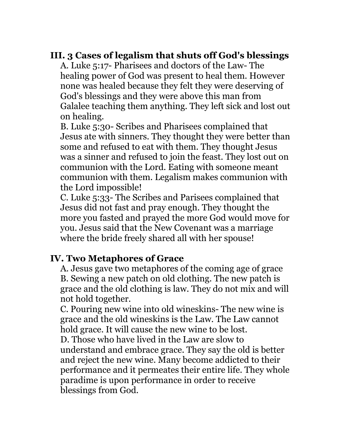### **III. 3 Cases of legalism that shuts off God's blessings**

A. Luke 5:17- Pharisees and doctors of the Law- The healing power of God was present to heal them. However none was healed because they felt they were deserving of God's blessings and they were above this man from Galalee teaching them anything. They left sick and lost out on healing.

B. Luke 5:30- Scribes and Pharisees complained that Jesus ate with sinners. They thought they were better than some and refused to eat with them. They thought Jesus was a sinner and refused to join the feast. They lost out on communion with the Lord. Eating with someone meant communion with them. Legalism makes communion with the Lord impossible!

C. Luke 5:33- The Scribes and Parisees complained that Jesus did not fast and pray enough. They thought the more you fasted and prayed the more God would move for you. Jesus said that the New Covenant was a marriage where the bride freely shared all with her spouse!

### **IV. Two Metaphores of Grace**

A. Jesus gave two metaphores of the coming age of grace B. Sewing a new patch on old clothing. The new patch is grace and the old clothing is law. They do not mix and will not hold together.

C. Pouring new wine into old wineskins- The new wine is grace and the old wineskins is the Law. The Law cannot hold grace. It will cause the new wine to be lost. D. Those who have lived in the Law are slow to understand and embrace grace. They say the old is better and reject the new wine. Many become addicted to their performance and it permeates their entire life. They whole paradime is upon performance in order to receive blessings from God.